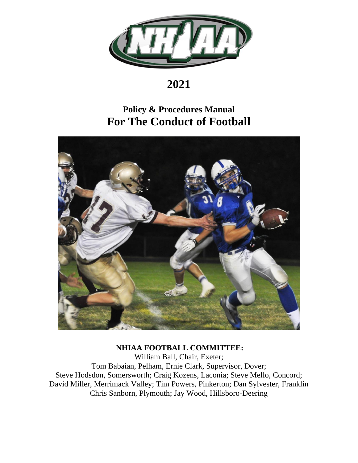

# **2021**

# **Policy & Procedures Manual For The Conduct of Football**



# **NHIAA FOOTBALL COMMITTEE:**

William Ball, Chair, Exeter; Tom Babaian, Pelham, Ernie Clark, Supervisor, Dover; Steve Hodsdon, Somersworth; Craig Kozens, Laconia; Steve Mello, Concord; David Miller, Merrimack Valley; Tim Powers, Pinkerton; Dan Sylvester, Franklin Chris Sanborn, Plymouth; Jay Wood, Hillsboro-Deering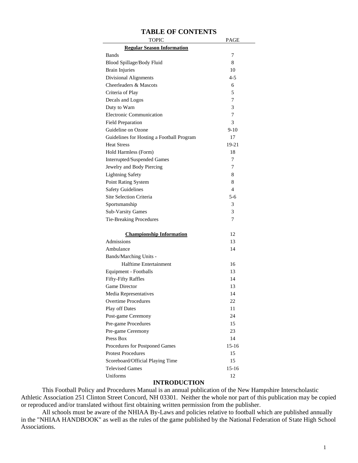| <b>TOPIC</b>                              | PAGE      |
|-------------------------------------------|-----------|
| <b>Regular Season Information</b>         |           |
| Bands                                     | 7         |
| Blood Spillage/Body Fluid                 | 8         |
| <b>Brain Injuries</b>                     | 10        |
| <b>Divisional Alignments</b>              | $4 - 5$   |
| Cheerleaders & Mascots                    | 6         |
| Criteria of Play                          | 5         |
| Decals and Logos                          | 7         |
| Duty to Warn                              | 3         |
| Electronic Communication                  | 7         |
| <b>Field Preparation</b>                  | 3         |
| Guideline on Ozone                        | 9-10      |
| Guidelines for Hosting a Football Program | 17        |
| <b>Heat Stress</b>                        | 19-21     |
| Hold Harmless (Form)                      | 18        |
| Interrupted/Suspended Games               | 7         |
| Jewelry and Body Piercing                 | 7         |
| <b>Lightning Safety</b>                   | 8         |
| Point Rating System                       | 8         |
| <b>Safety Guidelines</b>                  | 4         |
| Site Selection Criteria                   | 5-6       |
| Sportsmanship                             | 3         |
| <b>Sub-Varsity Games</b>                  | 3         |
| Tie-Breaking Procedures                   | 7         |
| <b>Championship Information</b>           | 12        |
| Admissions                                | 13        |
| Ambulance                                 | 14        |
| Bands/Marching Units -                    |           |
| Halftime Entertainment                    | 16        |
| Equipment - Footballs                     | 13        |
| Fifty-Fifty Raffles                       | 14        |
| <b>Game Director</b>                      | 13        |
| Media Representatives                     | 14        |
| <b>Overtime Procedures</b>                | 22        |
| <b>Play off Dates</b>                     | 11        |
| Post-game Ceremony                        | 24        |
| Pre-game Procedures                       | 15        |
| Pre-game Ceremony                         | 23        |
| Press Box                                 | 14        |
| Procedures for Postponed Games            | 15-16     |
| <b>Protest Procedures</b>                 | 15        |
| Scoreboard/Official Playing Time          | 15        |
| <b>Televised Games</b>                    | $15 - 16$ |
| Uniforms                                  | 12        |

## **TABLE OF CONTENTS**

#### **INTRODUCTION**

This Football Policy and Procedures Manual is an annual publication of the New Hampshire Interscholastic Athletic Association 251 Clinton Street Concord, NH 03301. Neither the whole nor part of this publication may be copied or reproduced and/or translated without first obtaining written permission from the publisher.

All schools must be aware of the NHIAA By-Laws and policies relative to football which are published annually in the "NHIAA HANDBOOK" as well as the rules of the game published by the National Federation of State High School Associations.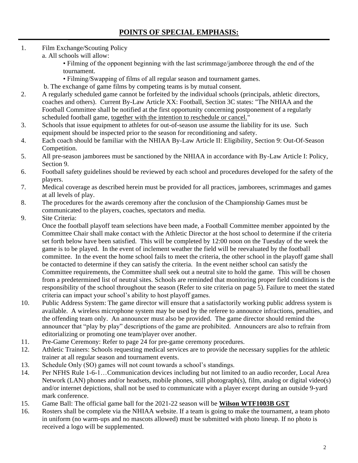- 1. Film Exchange/Scouting Policy
	- a. All schools will allow:

• Filming of the opponent beginning with the last scrimmage/jamboree through the end of the tournament.

- Filming/Swapping of films of all regular season and tournament games.
- b. The exchange of game films by competing teams is by mutual consent.
- 2. A regularly scheduled game cannot be forfeited by the individual schools (principals, athletic directors, coaches and others). Current By-Law Article XX: Football, Section 3C states: "The NHIAA and the Football Committee shall be notified at the first opportunity concerning postponement of a regularly scheduled football game, together with the intention to reschedule or cancel."
- 3. Schools that issue equipment to athletes for out-of-season use assume the liability for its use. Such equipment should be inspected prior to the season for reconditioning and safety.
- 4. Each coach should be familiar with the NHIAA By-Law Article II: Eligibility, Section 9: Out-Of-Season Competition.
- 5. All pre-season jamborees must be sanctioned by the NHIAA in accordance with By-Law Article I: Policy, Section 9.
- 6. Football safety guidelines should be reviewed by each school and procedures developed for the safety of the players.
- 7. Medical coverage as described herein must be provided for all practices, jamborees, scrimmages and games at all levels of play.
- 8. The procedures for the awards ceremony after the conclusion of the Championship Games must be communicated to the players, coaches, spectators and media.
- 9. Site Criteria:

Once the football playoff team selections have been made, a Football Committee member appointed by the Committee Chair shall make contact with the Athletic Director at the host school to determine if the criteria set forth below have been satisfied. This will be completed by 12:00 noon on the Tuesday of the week the game is to be played. In the event of inclement weather the field will be reevaluated by the football committee. In the event the home school fails to meet the criteria, the other school in the playoff game shall be contacted to determine if they can satisfy the criteria. In the event neither school can satisfy the Committee requirements, the Committee shall seek out a neutral site to hold the game. This will be chosen from a predetermined list of neutral sites. Schools are reminded that monitoring proper field conditions is the responsibility of the school throughout the season (Refer to site criteria on page 5). Failure to meet the stated criteria can impact your school's ability to host playoff games.

- 10. Public Address System: The game director will ensure that a satisfactorily working public address system is available. A wireless microphone system may be used by the referee to announce infractions, penalties, and the offending team only. An announcer must also be provided. The game director should remind the announcer that "play by play" descriptions of the game are prohibited. Announcers are also to refrain from editorializing or promoting one team/player over another.
- 11. Pre-Game Ceremony: Refer to page 24 for pre-game ceremony procedures.
- 12. Athletic Trainers: Schools requesting medical services are to provide the necessary supplies for the athletic trainer at all regular season and tournament events.
- 13. Schedule Only (SO) games will not count towards a school's standings.
- 14. Per NFHS Rule 1-6-1…Communication devices including but not limited to an audio recorder, Local Area Network (LAN) phones and/or headsets, mobile phones, still photograph(s), film, analog or digital video(s) and/or internet depictions, shall not be used to communicate with a player except during an outside 9-yard mark conference.
- 15. Game Ball: The official game ball for the 2021-22 season will be **Wilson WTF1003B GST**
- 16. Rosters shall be complete via the NHIAA website. If a team is going to make the tournament, a team photo in uniform (no warm-ups and no mascots allowed) must be submitted with photo lineup. If no photo is received a logo will be supplemented.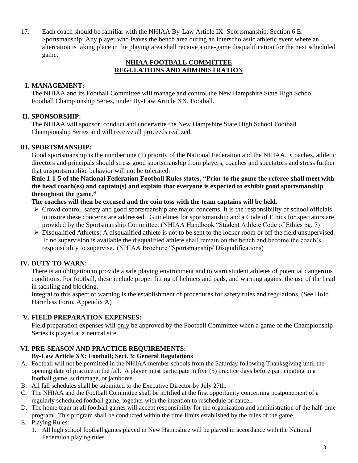17. Each coach should be familiar with the NHIAA By-Law Article IX: Sportsmanship, Section 6 E: Sportsmanship: Any player who leaves the bench area during an interscholastic athletic event where an altercation is taking place in the playing area shall receive a one-game disqualification for the next scheduled game.

# **NHIAA FOOTBALL COMMITTEE REGULATIONS AND ADMINISTRATION**

# **I. MANAGEMENT:**

The NHIAA and its Football Committee will manage and control the New Hampshire State High School Football Championship Series, under By-Law Article XX, Football.

# **II. SPONSORSHIP:**

The NHIAA will sponsor, conduct and underwrite the New Hampshire State High School Football Championship Series and will receive all proceeds realized.

# **III. SPORTSMANSHIP:**

Good sportsmanship is the number one (1) priority of the National Federation and the NHIAA. Coaches, athletic directors and principals should stress good sportsmanship from players, coaches and spectators and stress further that unsportsmanlike behavior will not be tolerated.

**Rule 1-1-5 of the National Federation Football Rules states, "Prior to the game the referee shall meet with the head coach(es) and captain(s) and explain that everyone is expected to exhibit good sportsmanship throughout the game."** 

# **The coaches will then be excused and the coin toss with the team captains will be held.**

- ➢ Crowd control, safety and good sportsmanship are major concerns. It is the responsibility of school officials to insure these concerns are addressed. Guidelines for sportsmanship and a Code of Ethics for spectators are provided by the Sportsmanship Committee. (NHIAA Handbook "Student Athlete Code of Ethics pg. 7)
- $\triangleright$  Disqualified Athletes: A disqualified athlete is not to be sent to the locker room or off the field unsupervised. If no supervision is available the disqualified athlete shall remain on the bench and become the coach's responsibility to supervise. (NHIAA Brochure "Sportsmanship/ Disqualifications)

# **IV. DUTY TO WARN:**

There is an obligation to provide a safe playing environment and to warn student athletes of potential dangerous conditions. For football, these include proper fitting of helmets and pads, and warning against the use of the head in tackling and blocking.

Integral to this aspect of warning is the establishment of procedures for safety rules and regulations. (See Hold Harmless Form, Appendix A)

# **V. FIELD PREPARATION EXPENSES:**

Field preparation expenses will only be approved by the Football Committee when a game of the Championship Series is played at a neutral site.

# **VI. PRE-SEASON AND PRACTICE REQUIREMENTS:**

# **By-Law Article XX: Football; Sect. 3: General Regulations**

- A. Football will not be permitted in the NHIAA member schools from the Saturday following Thanksgiving until the opening date of practice in the fall. A player must participate in five (5) practice days before participating in a football game, scrimmage, or jamboree.
- B. All fall schedules shall be submitted to the Executive Director by July 27th.
- C. The NHIAA and the Football Committee shall be notified at the first opportunity concerning postponement of a regularly scheduled football game, together with the intention to reschedule or cancel.
- D. The home team in all football games will accept responsibility for the organization and administration of the half-time program. This program shall be conducted within the time limits established by the rules of the game.
- E. Playing Rules:
	- 1. All high school football games played in New Hampshire will be played in accordance with the National Federation playing rules.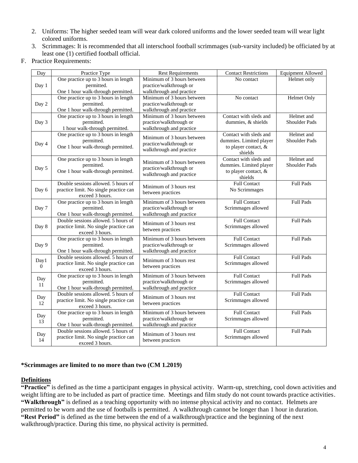- 2. Uniforms: The higher seeded team will wear dark colored uniforms and the lower seeded team will wear light colored uniforms.
- 3. Scrimmages: It is recommended that all interschool football scrimmages (sub-varsity included) be officiated by at least one (1) certified football official.
- F. Practice Requirements:

| Day      | Practice Type                                                                 | <b>Rest Requirements</b>   | <b>Contact Restrictions</b>       | <b>Equipment Allowed</b> |
|----------|-------------------------------------------------------------------------------|----------------------------|-----------------------------------|--------------------------|
|          | One practice up to 3 hours in length                                          | Minimum of 3 hours between | No contact                        | Helmet only              |
| Day 1    | permitted.                                                                    | practice/walkthrough or    |                                   |                          |
|          | One 1 hour walk-through permitted.                                            | walkthrough and practice   |                                   |                          |
|          | One practice up to 3 hours in length                                          | Minimum of 3 hours between | No contact                        | <b>Helmet Only</b>       |
| Day 2    | permitted.                                                                    | practice/walkthrough or    |                                   |                          |
|          | One 1 hour walk-through permitted.                                            | walkthrough and practice   |                                   |                          |
|          | One practice up to 3 hours in length                                          | Minimum of 3 hours between | Contact with sleds and            | Helmet and               |
| Day 3    | permitted.                                                                    | practice/walkthrough or    | dummies, & shields                | <b>Shoulder Pads</b>     |
|          | 1 hour walk-through permitted.                                                | walkthrough and practice   |                                   |                          |
|          | One practice up to 3 hours in length                                          | Minimum of 3 hours between | Contact with sleds and            | Helmet and               |
| Day 4    | permitted.                                                                    | practice/walkthrough or    | dummies. Limited player           | <b>Shoulder Pads</b>     |
|          | One 1 hour walk-through permitted.                                            | walkthrough and practice   | to player contact, &              |                          |
|          | One practice up to 3 hours in length                                          |                            | shields<br>Contact with sleds and | Helmet and               |
|          | permitted.                                                                    | Minimum of 3 hours between | dummies. Limited player           | Shoulder Pads            |
| Day 5    | One 1 hour walk-through permitted.                                            | practice/walkthrough or    | to player contact, &              |                          |
|          |                                                                               | walkthrough and practice   | shields                           |                          |
|          | Double sessions allowed. 5 hours of                                           |                            | <b>Full Contact</b>               | <b>Full Pads</b>         |
| Day 6    | practice limit. No single practice can                                        | Minimum of 3 hours rest    | No Scrimmages                     |                          |
|          | exceed 3 hours.                                                               | between practices          |                                   |                          |
|          | One practice up to 3 hours in length                                          | Minimum of 3 hours between | <b>Full Contact</b>               | <b>Full Pads</b>         |
| Day 7    | permitted.                                                                    | practice/walkthrough or    | Scrimmages allowed                |                          |
|          | One 1 hour walk-through permitted.                                            | walkthrough and practice   |                                   |                          |
|          | Double sessions allowed. 5 hours of                                           | Minimum of 3 hours rest    | <b>Full Contact</b>               | <b>Full Pads</b>         |
| Day 8    | practice limit. No single practice can                                        | between practices          | Scrimmages allowed                |                          |
|          | exceed 3 hours.                                                               |                            |                                   |                          |
|          | One practice up to 3 hours in length                                          | Minimum of 3 hours between | <b>Full Contact</b>               | <b>Full Pads</b>         |
| Day 9    | permitted.                                                                    | practice/walkthrough or    | Scrimmages allowed                |                          |
|          | One 1 hour walk-through permitted.                                            | walkthrough and practice   |                                   |                          |
| Day1     | Double sessions allowed. 5 hours of                                           | Minimum of 3 hours rest    | <b>Full Contact</b>               | <b>Full Pads</b>         |
| $\Omega$ | practice limit. No single practice can                                        | between practices          | Scrimmages allowed                |                          |
|          | exceed 3 hours.                                                               |                            |                                   |                          |
| Day      | One practice up to 3 hours in length                                          | Minimum of 3 hours between | <b>Full Contact</b>               | <b>Full Pads</b>         |
| 11       | permitted.                                                                    | practice/walkthrough or    | Scrimmages allowed                |                          |
|          | One 1 hour walk-through permitted.                                            | walkthrough and practice   |                                   |                          |
| Day      | Double sessions allowed. 5 hours of<br>practice limit. No single practice can | Minimum of 3 hours rest    | <b>Full Contact</b>               | <b>Full Pads</b>         |
| 12       | exceed 3 hours.                                                               | between practices          | Scrimmages allowed                |                          |
|          | One practice up to 3 hours in length                                          | Minimum of 3 hours between | <b>Full Contact</b>               | <b>Full Pads</b>         |
| Day      | permitted.                                                                    | practice/walkthrough or    | Scrimmages allowed                |                          |
| 13       | One 1 hour walk-through permitted.                                            | walkthrough and practice   |                                   |                          |
|          | Double sessions allowed. 5 hours of                                           |                            | <b>Full Contact</b>               | <b>Full Pads</b>         |
| Day      | practice limit. No single practice can                                        | Minimum of 3 hours rest    | Scrimmages allowed                |                          |
| 14       | exceed 3 hours.                                                               | between practices          |                                   |                          |

#### **\*Scrimmages are limited to no more than two (CM 1.2019)**

#### **Definitions**

**"Practice"** is defined as the time a participant engages in physical activity. Warm-up, stretching, cool down activities and weight lifting are to be included as part of practice time. Meetings and film study do not count towards practice activities. **"Walkthrough"** is defined as a teaching opportunity with no intense physical activity and no contact. Helmets are permitted to be worn and the use of footballs is permitted. A walkthrough cannot be longer than 1 hour in duration. **"Rest Period"** is defined as the time between the end of a walkthrough/practice and the beginning of the next walkthrough/practice. During this time, no physical activity is permitted.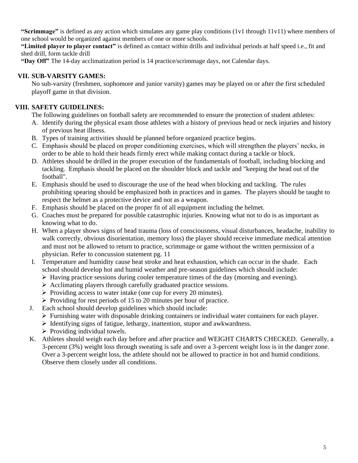**"Scrimmage"** is defined as any action which simulates any game play conditions (1v1 through 11v11) where members of one school would be organized against members of one or more schools.

**"Limited player to player contact"** is defined as contact within drills and individual periods at half speed i.e., fit and shed drill, form tackle drill

**"Day Off"** The 14-day acclimatization period is 14 practice/scrimmage days, not Calendar days.

## **VII. SUB-VARSITY GAMES:**

No sub-varsity (freshmen, sophomore and junior varsity) games may be played on or after the first scheduled playoff game in that division.

# **VIII. SAFETY GUIDELINES:**

The following guidelines on football safety are recommended to ensure the protection of student athletes:

- A. Identify during the physical exam those athletes with a history of previous head or neck injuries and history of previous heat illness.
- B. Types of training activities should be planned before organized practice begins.
- C. Emphasis should be placed on proper conditioning exercises, which will strengthen the players' necks, in order to be able to hold their heads firmly erect while making contact during a tackle or block.
- D. Athletes should be drilled in the proper execution of the fundamentals of football, including blocking and tackling. Emphasis should be placed on the shoulder block and tackle and "keeping the head out of the football".
- E. Emphasis should be used to discourage the use of the head when blocking and tackling. The rules prohibiting spearing should be emphasized both in practices and in games. The players should be taught to respect the helmet as a protective device and not as a weapon.
- F. Emphasis should be placed on the proper fit of all equipment including the helmet.
- G. Coaches must be prepared for possible catastrophic injuries. Knowing what not to do is as important as knowing what to do.
- H. When a player shows signs of head trauma (loss of consciousness, visual disturbances, headache, inability to walk correctly, obvious disorientation, memory loss) the player should receive immediate medical attention and must not be allowed to return to practice, scrimmage or game without the written permission of a physician. Refer to concussion statement pg. 11
- I. Temperature and humidity cause heat stroke and heat exhaustion, which can occur in the shade. Each school should develop hot and humid weather and pre-season guidelines which should include:
	- $\triangleright$  Having practice sessions during cooler temperature times of the day (morning and evening).
	- ➢ Acclimating players through carefully graduated practice sessions.
	- ➢ Providing access to water intake (one cup for every 20 minutes).
	- ➢ Providing for rest periods of 15 to 20 minutes per hour of practice.
- J. Each school should develop guidelines which should include:
	- $\triangleright$  Furnishing water with disposable drinking containers or individual water containers for each player.
	- ➢ Identifying signs of fatigue, lethargy, inattention, stupor and awkwardness.
	- $\triangleright$  Providing individual towels.
- K. Athletes should weigh each day before and after practice and WEIGHT CHARTS CHECKED. Generally, a 3-percent (3%) weight loss through sweating is safe and over a 3-percent weight loss is in the danger zone. Over a 3-percent weight loss, the athlete should not be allowed to practice in hot and humid conditions. Observe them closely under all conditions.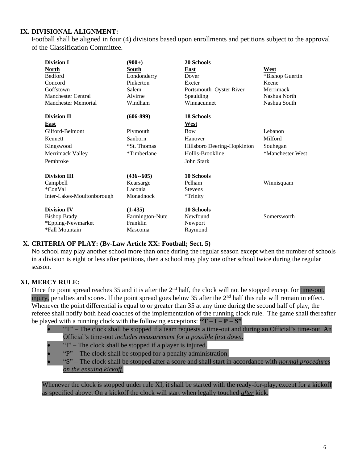# **IX. DIVISIONAL ALIGNMENT:**

Football shall be aligned in four (4) divisions based upon enrollments and petitions subject to the approval of the Classification Committee.

| <b>Division I</b>          | $(900+)$        | 20 Schools                  |                  |
|----------------------------|-----------------|-----------------------------|------------------|
| <u>North</u>               | South           | East                        | West             |
| <b>Bedford</b>             | Londonderry     | Dover                       | *Bishop Guertin  |
| Concord                    | Pinkerton       | Exeter                      | Keene            |
| Goffstown                  | Salem           | Portsmouth–Oyster River     | Merrimack        |
| <b>Manchester Central</b>  | Alvirne         | Spaulding                   | Nashua North     |
| <b>Manchester Memorial</b> | Windham         | Winnacunnet                 | Nashua South     |
| <b>Division II</b>         | $(606-899)$     | <b>18 Schools</b>           |                  |
| East                       |                 | <b>West</b>                 |                  |
| Gilford-Belmont            | Plymouth        | <b>Bow</b>                  | Lebanon          |
| Kennett                    | Sanborn         | Hanover                     | Milford          |
| Kingswood                  | *St. Thomas     | Hillsboro Deering-Hopkinton | Souhegan         |
| Merrimack Valley           | *Timberlane     | Hollis-Brookline            | *Manchester West |
| Pembroke                   |                 | John Stark                  |                  |
| <b>Division III</b>        | $(436 - 605)$   | <b>10 Schools</b>           |                  |
| Campbell                   | Kearsarge       | Pelham                      | Winnisquam       |
| *ConVal                    | Laconia         | <b>Stevens</b>              |                  |
| Inter-Lakes-Moultonborough | Monadnock       | *Trinity                    |                  |
| <b>Division IV</b>         | $(1-435)$       | <b>10 Schools</b>           |                  |
| <b>Bishop Brady</b>        | Farmington-Nute | Newfound                    | Somersworth      |
| *Epping-Newmarket          | Franklin        | Newport                     |                  |
| *Fall Mountain             | Mascoma         | Raymond                     |                  |

#### **X. CRITERIA OF PLAY: (By-Law Article XX: Football; Sect. 5)**

No school may play another school more than once during the regular season except when the number of schools in a division is eight or less after petitions, then a school may play one other school twice during the regular season.

#### **XI. MERCY RULE:**

Once the point spread reaches 35 and it is after the 2<sup>nd</sup> half, the clock will not be stopped except for time-out, injury, penalties and scores. If the point spread goes below 35 after the  $2<sup>nd</sup>$  half this rule will remain in effect. Whenever the point differential is equal to or greater than 35 at any time during the second half of play, the referee shall notify both head coaches of the implementation of the running clock rule. The game shall thereafter be played with a running clock with the following exceptions:  $"T - I - P - S"$ 

- "T" The clock shall be stopped if a team requests a time-out and during an Official's time-out. An Official's time-out *includes measurement for a possible first down.*
- "I" The clock shall be stopped if a player is injured.
- "P" The clock shall be stopped for a penalty administration.
- "S" The clock shall be stopped after a score and shall start in accordance with *normal procedures on the ensuing kickoff.*

Whenever the clock is stopped under rule XI, it shall be started with the ready-for-play, except for a kickoff as specified above. On a kickoff the clock will start when legally touched *after* kick.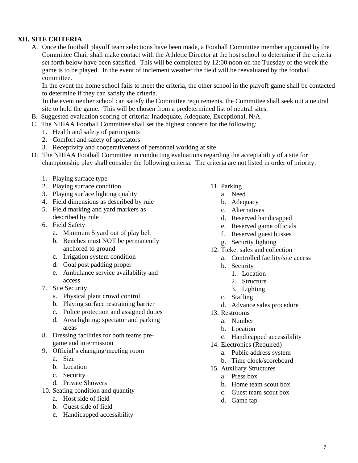# **XII. SITE CRITERIA**

A. Once the football playoff team selections have been made, a Football Committee member appointed by the Committee Chair shall make contact with the Athletic Director at the host school to determine if the criteria set forth below have been satisfied. This will be completed by 12:00 noon on the Tuesday of the week the game is to be played. In the event of inclement weather the field will be reevaluated by the football committee.

In the event the home school fails to meet the criteria, the other school in the playoff game shall be contacted to determine if they can satisfy the criteria.

In the event neither school can satisfy the Committee requirements, the Committee shall seek out a neutral site to hold the game. This will be chosen from a predetermined list of neutral sites.

- B. Suggested evaluation scoring of criteria: Inadequate, Adequate, Exceptional, N/A.
- C. The NHIAA Football Committee shall set the highest concern for the following:
	- 1. Health and safety of participants
	- 2. Comfort and safety of spectators
	- 3. Receptivity and cooperativeness of personnel working at site
- D. The NHIAA Football Committee in conducting evaluations regarding the acceptability of a site for championship play shall consider the following criteria. The criteria are not listed in order of priority.
	- 1. Playing surface type
	- 2. Playing surface condition
	- 3. Playing surface lighting quality
	- 4. Field dimensions as described by rule
	- 5. Field marking and yard markers as described by rule
	- 6. Field Safety
		- a. Minimum 5 yard out of play belt
		- b. Benches must NOT be permanently anchored to ground
		- c. Irrigation system condition
		- d. Goal post padding proper
		- e. Ambulance service availability and access
	- 7. Site Security
		- a. Physical plant crowd control
		- b. Playing surface restraining barrier
		- c. Police protection and assigned duties
		- d. Area lighting: spectator and parking areas
	- 8. Dressing facilities for both teams pregame and intermission
	- 9. Official's changing/meeting room
		- a. Size
		- b. Location
		- c. Security
		- d. Private Showers
	- 10. Seating condition and quantity
		- a. Host side of field
		- b. Guest side of field
		- c. Handicapped accessibility
- 11. Parking
	- a. Need
	- b. Adequacy
	- c. Alternatives
	- d. Reserved handicapped
	- e. Reserved game officials
	- f. Reserved guest busses
	- g. Security lighting
- 12. Ticket sales and collection
	- a. Controlled facility/site access
	- b. Security
		- 1. Location
		- 2. Structure
		- 3. Lighting
	- c. Staffing
	- d. Advance sales procedure
- 13. Restrooms
	- a. Number
	- b. Location
	- c. Handicapped accessibility
- 14. Electronics (Required)
	- a. Public address system
	- b. Time clock/scoreboard
- 15. Auxiliary Structures
	- a. Press box
	- b. Home team scout box
	- c. Guest team scout box
	- d. Game tap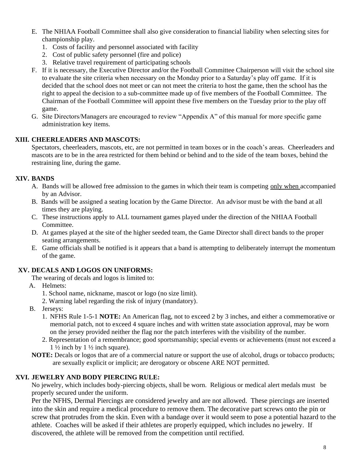- E. The NHIAA Football Committee shall also give consideration to financial liability when selecting sites for championship play.
	- 1. Costs of facility and personnel associated with facility
	- 2. Cost of public safety personnel (fire and police)
	- 3. Relative travel requirement of participating schools
- F. If it is necessary, the Executive Director and/or the Football Committee Chairperson will visit the school site to evaluate the site criteria when necessary on the Monday prior to a Saturday's play off game. If it is decided that the school does not meet or can not meet the criteria to host the game, then the school has the right to appeal the decision to a sub-committee made up of five members of the Football Committee. The Chairman of the Football Committee will appoint these five members on the Tuesday prior to the play off game.
- G. Site Directors/Managers are encouraged to review "Appendix A" of this manual for more specific game administration key items.

## **XIII. CHEERLEADERS AND MASCOTS:**

Spectators, cheerleaders, mascots, etc, are not permitted in team boxes or in the coach's areas. Cheerleaders and mascots are to be in the area restricted for them behind or behind and to the side of the team boxes, behind the restraining line, during the game.

## **XIV. BANDS**

- A. Bands will be allowed free admission to the games in which their team is competing only when accompanied by an Advisor.
- B. Bands will be assigned a seating location by the Game Director. An advisor must be with the band at all times they are playing.
- C. These instructions apply to ALL tournament games played under the direction of the NHIAA Football Committee.
- D. At games played at the site of the higher seeded team, the Game Director shall direct bands to the proper seating arrangements.
- E. Game officials shall be notified is it appears that a band is attempting to deliberately interrupt the momentum of the game.

# **XV. DECALS AND LOGOS ON UNIFORMS:**

- The wearing of decals and logos is limited to:
- A. Helmets:
	- 1. School name, nickname, mascot or logo (no size limit).
	- 2. Warning label regarding the risk of injury (mandatory).
- B. Jerseys:
	- 1. NFHS Rule 1-5-1 **NOTE:** An American flag, not to exceed 2 by 3 inches, and either a commemorative or memorial patch, not to exceed 4 square inches and with written state association approval, may be worn on the jersey provided neither the flag nor the patch interferes with the visibility of the number.
	- 2. Representation of a remembrance; good sportsmanship; special events or achievements (must not exceed a  $1\frac{1}{2}$  inch by  $1\frac{1}{2}$  inch square).
- **NOTE:** Decals or logos that are of a commercial nature or support the use of alcohol, drugs or tobacco products; are sexually explicit or implicit; are derogatory or obscene ARE NOT permitted.

## **XVI. JEWELRY AND BODY PIERCING RULE:**

No jewelry, which includes body-piercing objects, shall be worn. Religious or medical alert medals must be properly secured under the uniform.

Per the NFHS, Dermal Piercings are considered jewelry and are not allowed. These piercings are inserted into the skin and require a medical procedure to remove them. The decorative part screws onto the pin or screw that protrudes from the skin. Even with a bandage over it would seem to pose a potential hazard to the athlete. Coaches will be asked if their athletes are properly equipped, which includes no jewelry. If discovered, the athlete will be removed from the competition until rectified.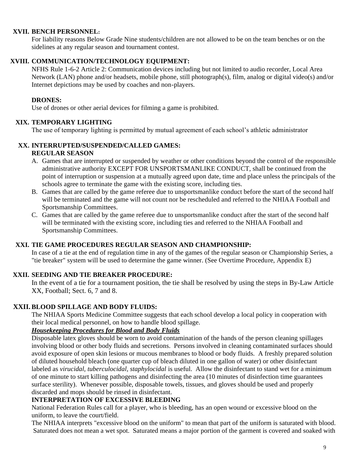### **XVII. BENCH PERSONNEL:**

For liability reasons Below Grade Nine students/children are not allowed to be on the team benches or on the sidelines at any regular season and tournament contest.

## **XVIII. COMMUNICATION/TECHNOLOGY EQUIPMENT:**

NFHS Rule 1-6-2 Article 2: Communication devices including but not limited to audio recorder, Local Area Network (LAN) phone and/or headsets, mobile phone, still photograph(s), film, analog or digital video(s) and/or Internet depictions may be used by coaches and non-players.

## **DRONES:**

Use of drones or other aerial devices for filming a game is prohibited.

## **XIX. TEMPORARY LIGHTING**

The use of temporary lighting is permitted by mutual agreement of each school's athletic administrator

# **XX. INTERRUPTED/SUSPENDED/CALLED GAMES:**

## **REGULAR SEASON**

- A. Games that are interrupted or suspended by weather or other conditions beyond the control of the responsible administrative authority EXCEPT FOR UNSPORTSMANLIKE CONDUCT, shall be continued from the point of interruption or suspension at a mutually agreed upon date, time and place unless the principals of the schools agree to terminate the game with the existing score, including ties.
- B. Games that are called by the game referee due to unsportsmanlike conduct before the start of the second half will be terminated and the game will not count nor be rescheduled and referred to the NHIAA Football and Sportsmanship Committees.
- C. Games that are called by the game referee due to unsportsmanlike conduct after the start of the second half will be terminated with the existing score, including ties and referred to the NHIAA Football and Sportsmanship Committees.

## **XXI. TIE GAME PROCEDURES REGULAR SEASON AND CHAMPIONSHIP:**

In case of a tie at the end of regulation time in any of the games of the regular season or Championship Series, a "tie breaker" system will be used to determine the game winner. (See Overtime Procedure, Appendix E)

# **XXII. SEEDING AND TIE BREAKER PROCEDURE:**

In the event of a tie for a tournament position, the tie shall be resolved by using the steps in By-Law Article XX, Football; Sect. 6, 7 and 8.

# **XXII. BLOOD SPILLAGE AND BODY FLUIDS:**

The NHIAA Sports Medicine Committee suggests that each school develop a local policy in cooperation with their local medical personnel, on how to handle blood spillage.

### *Housekeeping Procedures for Blood and Body Fluids*

Disposable latex gloves should be worn to avoid contamination of the hands of the person cleaning spillages involving blood or other body fluids and secretions. Persons involved in cleaning contaminated surfaces should avoid exposure of open skin lesions or mucous membranes to blood or body fluids. A freshly prepared solution of diluted household bleach (one quarter cup of bleach diluted in one gallon of water) or other disinfectant labeled as *virucidal, tuberculocidal, staphylocidal* is useful. Allow the disinfectant to stand wet for a minimum of one minute to start killing pathogens and disinfecting the area (10 minutes of disinfection time guarantees surface sterility). Whenever possible, disposable towels, tissues, and gloves should be used and properly discarded and mops should be rinsed in disinfectant.

#### **INTERPRETATION OF EXCESSIVE BLEEDING**

National Federation Rules call for a player, who is bleeding, has an open wound or excessive blood on the uniform, to leave the court/field.

The NHIAA interprets "excessive blood on the uniform" to mean that part of the uniform is saturated with blood. Saturated does not mean a wet spot. Saturated means a major portion of the garment is covered and soaked with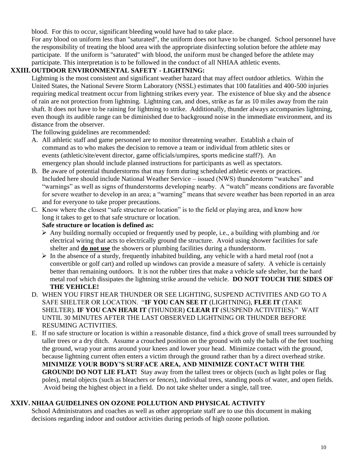blood. For this to occur, significant bleeding would have had to take place.

For any blood on uniform less than "saturated", the uniform does not have to be changed. School personnel have the responsibility of treating the blood area with the appropriate disinfecting solution before the athlete may participate. If the uniform is "saturated" with blood, the uniform must be changed before the athlete may participate. This interpretation is to be followed in the conduct of all NHIAA athletic events.

## **XXIII.OUTDOOR ENVIRONMENTAL SAFETY - LIGHTNING:**

Lightning is the most consistent and significant weather hazard that may affect outdoor athletics. Within the United States, the National Severe Storm Laboratory (NSSL) estimates that 100 fatalities and 400-500 injuries requiring medical treatment occur from lightning strikes every year. The existence of blue sky and the absence of rain are not protection from lightning. Lightning can, and does, strike as far as 10 miles away from the rain shaft. It does not have to be raining for lightning to strike. Additionally, thunder always accompanies lightning, even though its audible range can be diminished due to background noise in the immediate environment, and its distance from the observer.

The following guidelines are recommended:

- A. All athletic staff and game personnel are to monitor threatening weather. Establish a chain of command as to who makes the decision to remove a team or individual from athletic sites or events (athletic/site/event director, game officials/umpires, sports medicine staff?). An emergency plan should include planned instructions for participants as well as spectators.
- B. Be aware of potential thunderstorms that may form during scheduled athletic events or practices. Included here should include National Weather Service – issued (NWS) thunderstorm "watches" and "warnings" as well as signs of thunderstorms developing nearby. A "watch" means conditions are favorable for severe weather to develop in an area; a "warning" means that severe weather has been reported in an area and for everyone to take proper precautions.
- C. Know where the closest "safe structure or location" is to the field or playing area, and know how long it takes to get to that safe structure or location.

## **Safe structure or location is defined as:**

- $\triangleright$  Any building normally occupied or frequently used by people, i.e., a building with plumbing and /or electrical wiring that acts to electrically ground the structure. Avoid using shower facilities for safe shelter and **do not use** the showers or plumbing facilities during a thunderstorm.
- $\triangleright$  In the absence of a sturdy, frequently inhabited building, any vehicle with a hard metal roof (not a convertible or golf cart) and rolled up windows can provide a measure of safety. A vehicle is certainly better than remaining outdoors. It is not the rubber tires that make a vehicle safe shelter, but the hard metal roof which dissipates the lightning strike around the vehicle. **DO NOT TOUCH THE SIDES OF THE VEHICLE!**
- D. WHEN YOU FIRST HEAR THUNDER OR SEE LIGHTING, SUSPEND ACTIVITIES AND GO TO A SAFE SHELTER OR LOCATION. "**IF YOU CAN SEE IT** (LIGHTNING), **FLEE IT** (TAKE SHELTER). **IF YOU CAN HEAR IT** (THUNDER) **CLEAR IT** (SUSPEND ACTIVITIES)." WAIT UNTIL 30 MINUTES AFTER THE LAST OBSERVED LIGHTNING OR THUNDER BEFORE RESUMING ACTIVITIES.
- E. If no safe structure or location is within a reasonable distance, find a thick grove of small trees surrounded by taller trees or a dry ditch. Assume a crouched position on the ground with only the balls of the feet touching the ground, wrap your arms around your knees and lower your head. Minimize contact with the ground, because lightning current often enters a victim through the ground rather than by a direct overhead strike. **MINIMIZE YOUR BODY'S SURFACE AREA, AND MINIMIZE CONTACT WITH THE GROUND! DO NOT LIE FLAT!** Stay away from the tallest trees or objects (such as light poles or flag poles), metal objects (such as bleachers or fences), individual trees, standing pools of water, and open fields. Avoid being the highest object in a field. Do not take shelter under a single, tall tree.

# **XXIV. NHIAA GUIDELINES ON OZONE POLLUTION AND PHYSICAL ACTIVITY**

School Administrators and coaches as well as other appropriate staff are to use this document in making decisions regarding indoor and outdoor activities during periods of high ozone pollution.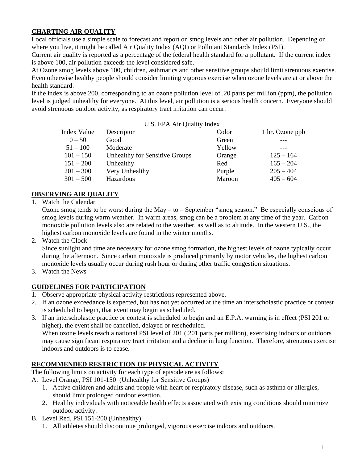# **CHARTING AIR QUALITY**

Local officials use a simple scale to forecast and report on smog levels and other air pollution. Depending on where you live, it might be called Air Quality Index (AQI) or Pollutant Standards Index (PSI).

Current air quality is reported as a percentage of the federal health standard for a pollutant. If the current index is above 100, air pollution exceeds the level considered safe.

At Ozone smog levels above 100, children, asthmatics and other sensitive groups should limit strenuous exercise. Even otherwise healthy people should consider limiting vigorous exercise when ozone levels are at or above the health standard.

If the index is above 200, corresponding to an ozone pollution level of .20 parts per million (ppm), the pollution level is judged unhealthy for everyone. At this level, air pollution is a serious health concern. Everyone should avoid strenuous outdoor activity, as respiratory tract irritation can occur.

| Index Value | Descriptor                     | Color  | 1 hr. Ozone ppb |
|-------------|--------------------------------|--------|-----------------|
| $0 - 50$    | Good                           | Green  |                 |
| $51 - 100$  | Moderate                       | Yellow |                 |
| $101 - 150$ | Unhealthy for Sensitive Groups | Orange | $125 - 164$     |
| $151 - 200$ | Unhealthy                      | Red    | $165 - 204$     |
| $201 - 300$ | Very Unhealthy                 | Purple | $205 - 404$     |
| $301 - 500$ | Hazardous                      | Maroon | $405 - 604$     |

U.S. EPA Air Quality Index

# **OBSERVING AIR QUALITY**

1. Watch the Calendar

Ozone smog tends to be worst during the May – to – September "smog season." Be especially conscious of smog levels during warm weather. In warm areas, smog can be a problem at any time of the year. Carbon monoxide pollution levels also are related to the weather, as well as to altitude. In the western U.S., the highest carbon monoxide levels are found in the winter months.

2. Watch the Clock

Since sunlight and time are necessary for ozone smog formation, the highest levels of ozone typically occur during the afternoon. Since carbon monoxide is produced primarily by motor vehicles, the highest carbon monoxide levels usually occur during rush hour or during other traffic congestion situations.

3. Watch the News

# **GUIDELINES FOR PARTICIPATION**

- 1. Observe appropriate physical activity restrictions represented above.
- 2. If an ozone exceedance is expected, but has not yet occurred at the time an interscholastic practice or contest is scheduled to begin, that event may begin as scheduled.
- 3. If an interscholastic practice or contest is scheduled to begin and an E.P.A. warning is in effect (PSI 201 or higher), the event shall be cancelled, delayed or rescheduled.

When ozone levels reach a national PSI level of 201 (.201 parts per million), exercising indoors or outdoors may cause significant respiratory tract irritation and a decline in lung function. Therefore, strenuous exercise indoors and outdoors is to cease.

# **RECOMMENDED RESTRICTION OF PHYSICAL ACTIVITY**

The following limits on activity for each type of episode are as follows:

- A. Level Orange, PSI 101-150 (Unhealthy for Sensitive Groups)
	- 1. Active children and adults and people with heart or respiratory disease, such as asthma or allergies, should limit prolonged outdoor exertion.
	- 2. Healthy individuals with noticeable health effects associated with existing conditions should minimize outdoor activity.
- B. Level Red, PSI 151-200 (Unhealthy)
	- 1. All athletes should discontinue prolonged, vigorous exercise indoors and outdoors.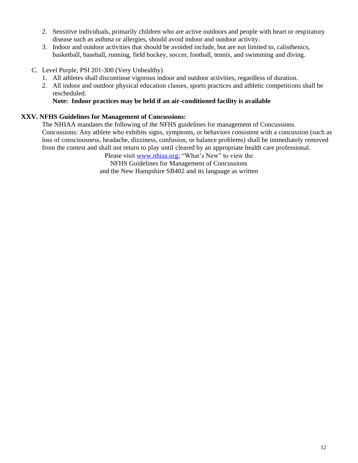- 2. Sensitive individuals, primarily children who are active outdoors and people with heart or respiratory disease such as asthma or allergies, should avoid indoor and outdoor activity.
- 3. Indoor and outdoor activities that should be avoided include, but are not limited to, calisthenics, basketball, baseball, running, field hockey, soccer, football, tennis, and swimming and diving.
- C. Level Purple, PSI 201-300 (Very Unhealthy)
	- 1. All athletes shall discontinue vigorous indoor and outdoor activities, regardless of duration.
	- 2. All indoor and outdoor physical education classes, sports practices and athletic competitions shall be rescheduled.

## **Note: Indoor practices may be held if an air-conditioned facility is available**

## **XXV. NFHS Guidelines for Management of Concussions:**

The NHIAA mandates the following of the NFHS guidelines for management of Concussions. Concussions: Any athlete who exhibits signs, symptoms, or behaviors consistent with a concussion (such as loss of consciousness, headache, dizziness, confusion, or balance problems) shall be immediately removed from the contest and shall not return to play until cleared by an appropriate health care professional.

Please visit [www.nhiaa.org;](http://www.nhiaa.org/) "What's New" to view the NFHS Guidelines for Management of Concussions and the New Hampshire SB402 and its language as written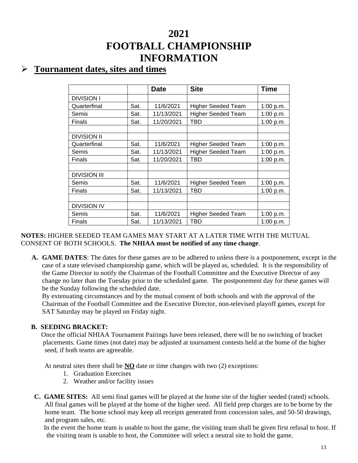# **2021 FOOTBALL CHAMPIONSHIP INFORMATION**

# ➢ **Tournament dates, sites and times**

|                     |      | <b>Date</b> | <b>Site</b>               | <b>Time</b> |
|---------------------|------|-------------|---------------------------|-------------|
| <b>DIVISION I</b>   |      |             |                           |             |
| Quarterfinal        | Sat. | 11/6/2021   | <b>Higher Seeded Team</b> | 1:00 p.m.   |
| Semis               | Sat. | 11/13/2021  | <b>Higher Seeded Team</b> | 1:00 p.m.   |
| Finals              | Sat. | 11/20/2021  | TBD                       | 1:00 p.m.   |
|                     |      |             |                           |             |
| <b>DIVISION II</b>  |      |             |                           |             |
| Quarterfinal        | Sat. | 11/6/2021   | <b>Higher Seeded Team</b> | 1:00 p.m.   |
| Semis               | Sat. | 11/13/2021  | <b>Higher Seeded Team</b> | 1:00 p.m.   |
| Finals              | Sat. | 11/20/2021  | TBD                       | 1:00 p.m.   |
|                     |      |             |                           |             |
| <b>DIVISION III</b> |      |             |                           |             |
| Semis               | Sat. | 11/6/2021   | <b>Higher Seeded Team</b> | 1:00 p.m.   |
| Finals              | Sat. | 11/13/2021  | TBD                       | 1:00 p.m.   |
|                     |      |             |                           |             |
| <b>DIVISION IV</b>  |      |             |                           |             |
| Semis               | Sat. | 11/6/2021   | <b>Higher Seeded Team</b> | 1:00 p.m.   |
| Finals              | Sat. | 11/13/2021  | TBD                       | 1:00 p.m.   |

## **NOTES:** HIGHER SEEDED TEAM GAMES MAY START AT A LATER TIME WITH THE MUTUAL CONSENT OF BOTH SCHOOLS. **The NHIAA must be notified of any time change**.

**A. GAME DATES**: The dates for these games are to be adhered to unless there is a postponement, except in the case of a state televised championship game, which will be played as, scheduled. It is the responsibility of the Game Director to notify the Chairman of the Football Committee and the Executive Director of any change no later than the Tuesday prior to the scheduled game. The postponement day for these games will be the Sunday following the scheduled date.

By extenuating circumstances and by the mutual consent of both schools and with the approval of the Chairman of the Football Committee and the Executive Director, non-televised playoff games, except for SAT Saturday may be played on Friday night.

# **B. SEEDING BRACKET:**

 Once the official NHIAA Tournament Pairings have been released, there will be no switching of bracket placements. Game times (not date) may be adjusted at tournament contests held at the home of the higher seed, if both teams are agreeable.

At neutral sites there shall be **NO** date or time changes with two (2) exceptions:

- 1. Graduation Exercises
- 2. Weather and/or facility issues
- **C. GAME SITES:** All semi final games will be played at the home site of the higher seeded (rated) schools. All final games will be played at the home of the higher seed. All field prep charges are to be borne by the home team. The home school may keep all receipts generated from concession sales, and 50-50 drawings, and program sales, etc.

In the event the home team is unable to host the game, the visiting team shall be given first refusal to host. If the visiting team is unable to host, the Committee will select a neutral site to hold the game.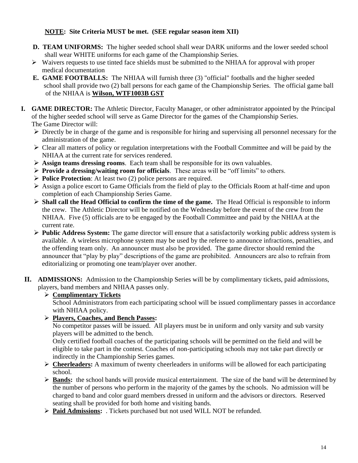# **NOTE: Site Criteria MUST be met. (SEE regular season item XII)**

- **D. TEAM UNIFORMS:** The higher seeded school shall wear DARK uniforms and the lower seeded school shall wear WHITE uniforms for each game of the Championship Series.
- $\triangleright$  Waivers requests to use tinted face shields must be submitted to the NHIAA for approval with proper medical documentation
- **E. GAME FOOTBALLS:** The NHIAA will furnish three (3) "official" footballs and the higher seeded school shall provide two (2) ball persons for each game of the Championship Series. The official game ball of the NHIAA is **Wilson, WTF1003B GST**
- **I. GAME DIRECTOR:** The Athletic Director, Faculty Manager, or other administrator appointed by the Principal of the higher seeded school will serve as Game Director for the games of the Championship Series. The Game Director will:
	- ➢ Directly be in charge of the game and is responsible for hiring and supervising all personnel necessary for the administration of the game.
	- ➢ Clear all matters of policy or regulation interpretations with the Football Committee and will be paid by the NHIAA at the current rate for services rendered.
	- ➢ **Assign teams dressing rooms**. Each team shall be responsible for its own valuables.
	- ➢ **Provide a dressing/waiting room for officials**. These areas will be "off limits" to others.
	- ➢ **Police Protection**: At least two (2) police persons are required.
	- ➢ Assign a police escort to Game Officials from the field of play to the Officials Room at half-time and upon completion of each Championship Series Game.
	- ➢ **Shall call the Head Official to confirm the time of the game.** The Head Official is responsible to inform the crew. The Athletic Director will be notified on the Wednesday before the event of the crew from the NHIAA. Five (5) officials are to be engaged by the Football Committee and paid by the NHIAA at the current rate.
	- ➢ **Public Address System:** The game director will ensure that a satisfactorily working public address system is available. A wireless microphone system may be used by the referee to announce infractions, penalties, and the offending team only. An announcer must also be provided. The game director should remind the announcer that "play by play" descriptions of the game are prohibited. Announcers are also to refrain from editorializing or promoting one team/player over another.
- **II. ADMISSIONS:** Admission to the Championship Series will be by complimentary tickets, paid admissions, players, band members and NHIAA passes only.

# ➢ **Complimentary Tickets**

School Administrators from each participating school will be issued complimentary passes in accordance with NHIAA policy.

➢ **Players, Coaches, and Bench Passes:**

 No competitor passes will be issued. All players must be in uniform and only varsity and sub varsity players will be admitted to the bench.

Only certified football coaches of the participating schools will be permitted on the field and will be eligible to take part in the contest. Coaches of non-participating schools may not take part directly or indirectly in the Championship Series games.

- ➢ **Cheerleaders:** A maximum of twenty cheerleaders in uniforms will be allowed for each participating school.
- ➢ **Bands:** the school bands will provide musical entertainment. The size of the band will be determined by the number of persons who perform in the majority of the games by the schools. No admission will be charged to band and color guard members dressed in uniform and the advisors or directors. Reserved seating shall be provided for both home and visiting bands.
- ➢ **Paid Admissions:** . Tickets purchased but not used WILL NOT be refunded.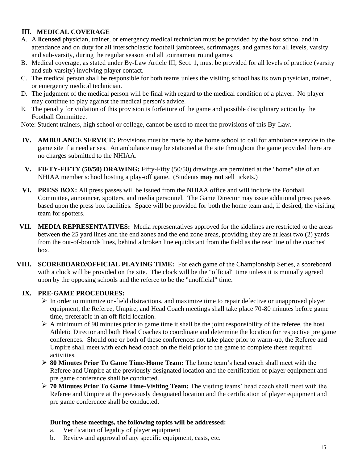# **III. MEDICAL COVERAGE**

- A. A **licensed** physician, trainer, or emergency medical technician must be provided by the host school and in attendance and on duty for all interscholastic football jamborees, scrimmages, and games for all levels, varsity and sub-varsity, during the regular season and all tournament round games.
- B. Medical coverage, as stated under By-Law Article III, Sect. 1, must be provided for all levels of practice (varsity and sub-varsity) involving player contact.
- C. The medical person shall be responsible for both teams unless the visiting school has its own physician, trainer, or emergency medical technician.
- D. The judgment of the medical person will be final with regard to the medical condition of a player. No player may continue to play against the medical person's advice.
- E. The penalty for violation of this provision is forfeiture of the game and possible disciplinary action by the Football Committee.

Note: Student trainers, high school or college, cannot be used to meet the provisions of this By-Law.

- **IV. AMBULANCE SERVICE:** Provisions must be made by the home school to call for ambulance service to the game site if a need arises. An ambulance may be stationed at the site throughout the game provided there are no charges submitted to the NHIAA.
- **V. FIFTY-FIFTY (50/50) DRAWING:** Fifty-Fifty (50/50) drawings are permitted at the "home" site of an NHIAA member school hosting a play-off game. (Students **may not** sell tickets.)
- **VI. PRESS BOX:** All press passes will be issued from the NHIAA office and will include the Football Committee, announcer, spotters, and media personnel. The Game Director may issue additional press passes based upon the press box facilities. Space will be provided for both the home team and, if desired, the visiting team for spotters.
- **VII. MEDIA REPRESENTATIVES:** Media representatives approved for the sidelines are restricted to the areas between the 25 yard lines and the end zones and the end zone areas, providing they are at least two (2) yards from the out-of-bounds lines, behind a broken line equidistant from the field as the rear line of the coaches' box.
- **VIII. SCOREBOARD/OFFICIAL PLAYING TIME:** For each game of the Championship Series, a scoreboard with a clock will be provided on the site. The clock will be the "official" time unless it is mutually agreed upon by the opposing schools and the referee to be the "unofficial" time.

# **IX. PRE-GAME PROCEDURES:**

- $\triangleright$  In order to minimize on-field distractions, and maximize time to repair defective or unapproved player equipment, the Referee, Umpire, and Head Coach meetings shall take place 70-80 minutes before game time, preferable in an off field location.
- $\triangleright$  A minimum of 90 minutes prior to game time it shall be the joint responsibility of the referee, the host Athletic Director and both Head Coaches to coordinate and determine the location for respective pre game conferences. Should one or both of these conferences not take place prior to warm-up, the Referee and Umpire shall meet with each head coach on the field prior to the game to complete these required activities.
- ➢ **80 Minutes Prior To Game Time-Home Team:** The home team's head coach shall meet with the Referee and Umpire at the previously designated location and the certification of player equipment and pre game conference shall be conducted.
- ➢ **70 Minutes Prior To Game Time-Visiting Team:** The visiting teams' head coach shall meet with the Referee and Umpire at the previously designated location and the certification of player equipment and pre game conference shall be conducted.

#### **During these meetings, the following topics will be addressed:**

- a. Verification of legality of player equipment
- b. Review and approval of any specific equipment, casts, etc.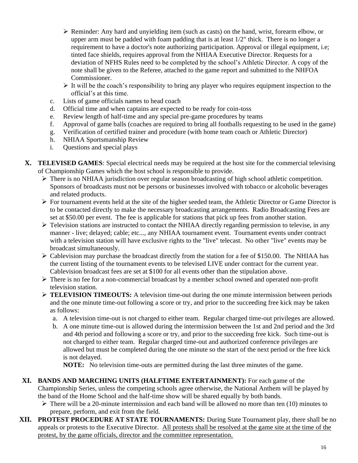- ➢ Reminder: Any hard and unyielding item (such as casts) on the hand, wrist, forearm elbow, or upper arm must be padded with foam padding that is at least  $1/2$ " thick. There is no longer a requirement to have a doctor's note authorizing participation. Approval or illegal equipment, i.e; tinted face shields, requires approval from the NHIAA Executive Director. Requests for a deviation of NFHS Rules need to be completed by the school's Athletic Director. A copy of the note shall be given to the Referee, attached to the game report and submitted to the NHFOA Commissioner.
- $\triangleright$  It will be the coach's responsibility to bring any player who requires equipment inspection to the official's at this time.
- c. Lists of game officials names to head coach
- d. Official time and when captains are expected to be ready for coin-toss
- e. Review length of half-time and any special pre-game procedures by teams
- f. Approval of game balls (coaches are required to bring all footballs requesting to be used in the game)
- g. Verification of certified trainer and procedure (with home team coach or Athletic Director)
- h. NHIAA Sportsmanship Review
- i. Questions and special plays
- **X. TELEVISED GAMES**: Special electrical needs may be required at the host site for the commercial televising of Championship Games which the host school is responsible to provide.
	- $\triangleright$  There is no NHIAA jurisdiction over regular season broadcasting of high school athletic competition. Sponsors of broadcasts must not be persons or businesses involved with tobacco or alcoholic beverages and related products.
	- ➢ For tournament events held at the site of the higher seeded team, the Athletic Director or Game Director is to be contacted directly to make the necessary broadcasting arrangements. Radio Broadcasting Fees are set at \$50.00 per event. The fee is applicable for stations that pick up fees from another station.
	- ➢ Television stations are instructed to contact the NHIAA directly regarding permission to televise, in any manner - live; delayed; cable; etc..., any NHIAA tournament event. Tournament events under contract with a television station will have exclusive rights to the "live" telecast. No other "live" events may be broadcast simultaneously.
	- $\triangleright$  Cablevision may purchase the broadcast directly from the station for a fee of \$150.00. The NHIAA has the current listing of the tournament events to be televised LIVE under contract for the current year. Cablevision broadcast fees are set at \$100 for all events other than the stipulation above.
	- ➢ There is no fee for a non-commercial broadcast by a member school owned and operated non-profit television station.
	- ➢ **TELEVISION TIMEOUTS:** A television time-out during the one minute intermission between periods and the one minute time-out following a score or try, and prior to the succeeding free kick may be taken as follows:
		- a. A television time-out is not charged to either team. Regular charged time-out privileges are allowed.
		- b. A one minute time-out is allowed during the intermission between the 1st and 2nd period and the 3rd and 4th period and following a score or try, and prior to the succeeding free kick. Such time-out is not charged to either team. Regular charged time-out and authorized conference privileges are allowed but must be completed during the one minute so the start of the next period or the free kick is not delayed.

**NOTE:** No television time-outs are permitted during the last three minutes of the game.

- **XI. BANDS AND MARCHING UNITS (HALFTIME ENTERTAINMENT):** For each game of the Championship Series, unless the competing schools agree otherwise, the National Anthem will be played by the band of the Home School and the half-time show will be shared equally by both bands.
	- $\triangleright$  There will be a 20-minute intermission and each band will be allowed no more than ten (10) minutes to prepare, perform, and exit from the field.
- **XII. PROTEST PROCEDURE AT STATE TOURNAMENTS:** During State Tournament play, there shall be no appeals or protests to the Executive Director. All protests shall be resolved at the game site at the time of the protest, by the game officials, director and the committee representation.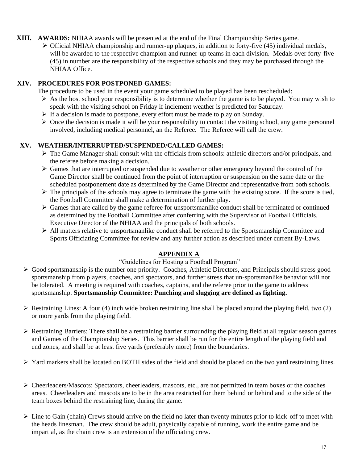## **XIII. AWARDS:** NHIAA awards will be presented at the end of the Final Championship Series game.

 $\triangleright$  Official NHIAA championship and runner-up plaques, in addition to forty-five (45) individual medals, will be awarded to the respective champion and runner-up teams in each division. Medals over forty-five (45) in number are the responsibility of the respective schools and they may be purchased through the NHIAA Office.

# **XIV. PROCEDURES FOR POSTPONED GAMES:**

The procedure to be used in the event your game scheduled to be played has been rescheduled:

- $\triangleright$  As the host school your responsibility is to determine whether the game is to be played. You may wish to speak with the visiting school on Friday if inclement weather is predicted for Saturday.
- ➢ If a decision is made to postpone, every effort must be made to play on Sunday.
- ➢ Once the decision is made it will be your responsibility to contact the visiting school, any game personnel involved, including medical personnel, an the Referee. The Referee will call the crew.

# **XV. WEATHER/INTERRUPTED/SUSPENDED/CALLED GAMES:**

- $\triangleright$  The Game Manager shall consult with the officials from schools: athletic directors and/or principals, and the referee before making a decision.
- ➢ Games that are interrupted or suspended due to weather or other emergency beyond the control of the Game Director shall be continued from the point of interruption or suspension on the same date or the scheduled postponement date as determined by the Game Director and representative from both schools.
- $\triangleright$  The principals of the schools may agree to terminate the game with the existing score. If the score is tied, the Football Committee shall make a determination of further play.
- ➢ Games that are called by the game referee for unsportsmanlike conduct shall be terminated or continued as determined by the Football Committee after conferring with the Supervisor of Football Officials, Executive Director of the NHIAA and the principals of both schools.
- ➢ All matters relative to unsportsmanlike conduct shall be referred to the Sportsmanship Committee and Sports Officiating Committee for review and any further action as described under current By-Laws.

# **APPENDIX A**

# "Guidelines for Hosting a Football Program"

- ➢ Good sportsmanship is the number one priority. Coaches, Athletic Directors, and Principals should stress good sportsmanship from players, coaches, and spectators, and further stress that un-sportsmanlike behavior will not be tolerated. A meeting is required with coaches, captains, and the referee prior to the game to address sportsmanship. **Sportsmanship Committee: Punching and slugging are defined as fighting.**
- $\triangleright$  Restraining Lines: A four (4) inch wide broken restraining line shall be placed around the playing field, two (2) or more yards from the playing field.
- ➢ Restraining Barriers: There shall be a restraining barrier surrounding the playing field at all regular season games and Games of the Championship Series. This barrier shall be run for the entire length of the playing field and end zones, and shall be at least five yards (preferably more) from the boundaries.

➢ Yard markers shall be located on BOTH sides of the field and should be placed on the two yard restraining lines.

- ➢ Cheerleaders/Mascots: Spectators, cheerleaders, mascots, etc., are not permitted in team boxes or the coaches areas. Cheerleaders and mascots are to be in the area restricted for them behind or behind and to the side of the team boxes behind the restraining line, during the game.
- $\triangleright$  Line to Gain (chain) Crews should arrive on the field no later than twenty minutes prior to kick-off to meet with the heads linesman. The crew should be adult, physically capable of running, work the entire game and be impartial, as the chain crew is an extension of the officiating crew.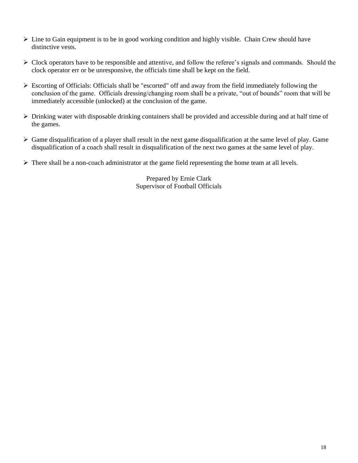- ➢ Line to Gain equipment is to be in good working condition and highly visible. Chain Crew should have distinctive vests.
- $\triangleright$  Clock operators have to be responsible and attentive, and follow the referee's signals and commands. Should the clock operator err or be unresponsive, the officials time shall be kept on the field.
- ➢ Escorting of Officials: Officials shall be "escorted" off and away from the field immediately following the conclusion of the game. Officials dressing/changing room shall be a private, "out of bounds" room that will be immediately accessible (unlocked) at the conclusion of the game.
- ➢ Drinking water with disposable drinking containers shall be provided and accessible during and at half time of the games.
- ➢ Game disqualification of a player shall result in the next game disqualification at the same level of play. Game disqualification of a coach shall result in disqualification of the next two games at the same level of play.
- ➢ There shall be a non-coach administrator at the game field representing the home team at all levels.

Prepared by Ernie Clark Supervisor of Football Officials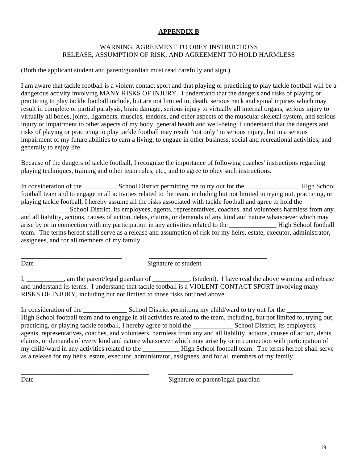# **APPENDIX B**

## WARNING, AGREEMENT TO OBEY INSTRUCTIONS RELEASE, ASSUMPTION OF RISK, AND AGREEMENT TO HOLD HARMLESS

(Both the applicant student and parent/guardian must read carefully and sign.)

I am aware that tackle football is a violent contact sport and that playing or practicing to play tackle football will be a dangerous activity involving MANY RISKS OF INJURY. I understand that the dangers and risks of playing or practicing to play tackle football include, but are not limited to, death, serious neck and spinal injuries which may result in complete or partial paralysis, brain damage, serious injury to virtually all internal organs, serious injury to virtually all bones, joints, ligaments, muscles, tendons, and other aspects of the muscular skeletal system, and serious injury or impairment to other aspects of my body, general health and well-being. I understand that the dangers and risks of playing or practicing to play tackle football may result "not only" in serious injury, but in a serious impairment of my future abilities to earn a living, to engage in other business, social and recreational activities, and generally to enjoy life.

Because of the dangers of tackle football, I recognize the importance of following coaches' instructions regarding playing techniques, training and other team rules, etc., and to agree to obey such instructions.

In consideration of the School District permitting me to try out for the High School High School football team and to engage in all activities related to the team, including but not limited to trying out, practicing, or playing tackle football, I hereby assume all the risks associated with tackle football and agree to hold the \_\_\_\_\_\_\_\_\_\_\_\_\_\_ School District, its employees, agents, representatives, coaches, and volunteers harmless from any and all liability, actions, causes of action, debts, claims, or demands of any kind and nature whatsoever which may arise by or in connection with my participation in any activities related to the \_\_\_\_\_\_\_\_\_\_\_\_\_\_ High School football team. The terms hereof shall serve as a release and assumption of risk for my heirs, estate, executor, administrator, assignees, and for all members of my family.

Date Signature of student

\_\_\_\_\_\_\_\_\_\_\_\_\_\_\_\_\_\_\_\_\_\_\_\_\_\_\_\_\_\_ \_\_\_\_\_\_\_\_\_\_\_\_\_\_\_\_\_\_\_\_\_\_\_\_\_\_\_\_\_\_\_\_\_\_\_

I, \_\_\_\_\_\_\_\_\_, am the parent/legal guardian of \_\_\_\_\_\_\_\_\_, (student). I have read the above warning and release and understand its terms. I understand that tackle football is a VIOLENT CONTACT SPORT involving many RISKS OF INJURY, including but not limited to those risks outlined above.

In consideration of the \_\_\_\_\_\_\_\_\_\_\_\_\_\_\_\_\_ School District permitting my child/ward to try out for the \_\_\_\_ High School football team and to engage in all activities related to the team, including, but not limited to, trying out, practicing, or playing tackle football, I hereby agree to hold the School District, its employees, agents, representatives, coaches, and volunteers, harmless from any and all liability, actions, causes of action, debts, claims, or demands of every kind and nature whatsoever which may arise by or in connection with participation of my child/ward in any activities related to the \_\_\_\_\_\_\_\_\_\_\_ High School football team. The terms hereof shall serve as a release for my heirs, estate, executor, administrator, assignees, and for all members of my family.

\_\_\_\_\_\_\_\_\_\_\_\_\_\_\_\_\_\_\_\_\_\_\_\_\_\_\_\_\_\_\_\_\_\_\_\_\_\_ \_\_\_\_\_\_\_\_\_\_\_\_\_\_\_\_\_\_\_\_\_\_\_\_\_\_\_\_\_\_\_\_\_\_\_\_\_

Date Signature of parent/legal guardian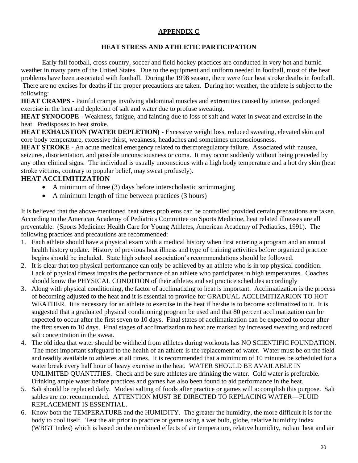# **APPENDIX C**

## **HEAT STRESS AND ATHLETIC PARTICIPATION**

Early fall football, cross country, soccer and field hockey practices are conducted in very hot and humid weather in many parts of the United States. Due to the equipment and uniform needed in football, most of the heat problems have been associated with football. During the 1998 season, there were four heat stroke deaths in football. There are no excises for deaths if the proper precautions are taken. During hot weather, the athlete is subject to the following:

**HEAT CRAMPS -** Painful cramps involving abdominal muscles and extremities caused by intense, prolonged exercise in the heat and depletion of salt and water due to profuse sweating.

**HEAT SYNOCOPE -** Weakness, fatigue, and fainting due to loss of salt and water in sweat and exercise in the heat. Predisposes to heat stroke.

**HEAT EXHAUSTION (WATER DEPLETION) -** Excessive weight loss, reduced sweating, elevated skin and core body temperature, excessive thirst, weakness, headaches and sometimes unconsciousness.

**HEAT STROKE -** An acute medical emergency related to thermoregulatory failure. Associated with nausea, seizures, disorientation, and possible unconsciousness or coma. It may occur suddenly without being preceded by any other clinical signs. The individual is usually unconscious with a high body temperature and a hot dry skin (heat stroke victims, contrary to popular belief, may sweat profusely).

# **HEAT ACCLIMITIZATION**

- A minimum of three (3) days before interscholastic scrimmaging
- A minimum length of time between practices (3 hours)

It is believed that the above-mentioned heat stress problems can be controlled provided certain precautions are taken. According to the American Academy of Pediatrics Committee on Sports Medicine, heat related illnesses are all preventable. (Sports Medicine: Health Care for Young Athletes, American Academy of Pediatrics, 1991). The following practices and precautions are recommended:

- 1. Each athlete should have a physical exam with a medical history when first entering a program and an annual health history update. History of previous heat illness and type of training activities before organized practice begins should be included. State high school association's recommendations should be followed.
- 2. It is clear that top physical performance can only be achieved by an athlete who is in top physical condition. Lack of physical fitness impairs the performance of an athlete who participates in high temperatures. Coaches should know the PHYSICAL CONDITION of their athletes and set practice schedules accordingly
- 3. Along with physical conditioning, the factor of acclimatizing to heat is important. Acclimatization is the process of becoming adjusted to the heat and it is essential to provide for GRADUAL ACCLIMITIZARION TO HOT WEATHER. It is necessary for an athlete to exercise in the heat if he/she is to become acclimatized to it. It is suggested that a graduated physical conditioning program be used and that 80 percent acclimatization can be expected to occur after the first seven to 10 days. Final states of acclimatization can be expected to occur after the first seven to 10 days. Final stages of acclimatization to heat are marked by increased sweating and reduced salt concentration in the sweat.
- 4. The old idea that water should be withheld from athletes during workouts has NO SCIENTIFIC FOUNDATION. The most important safeguard to the health of an athlete is the replacement of water. Water must be on the field and readily available to athletes at all times. It is recommended that a minimum of 10 minutes be scheduled for a water break every half hour of heavy exercise in the heat. WATER SHOULD BE AVAILABLE IN UNLIMITED QUANTITIES. Check and be sure athletes are drinking the water. Cold water is preferable. Drinking ample water before practices and games has also been found to aid performance in the heat.
- 5. Salt should be replaced daily. Modest salting of foods after practice or games will accomplish this purpose. Salt sables are not recommended. ATTENTION MUST BE DIRECTED TO REPLACING WATER—FLUID REPLACEMENT IS ESSENTIAL.
- 6. Know both the TEMPERATURE and the HUMIDITY. The greater the humidity, the more difficult it is for the body to cool itself. Test the air prior to practice or game using a wet bulb, globe, relative humidity index (WBGT Index) which is based on the combined effects of air temperature, relative humidity, radiant heat and air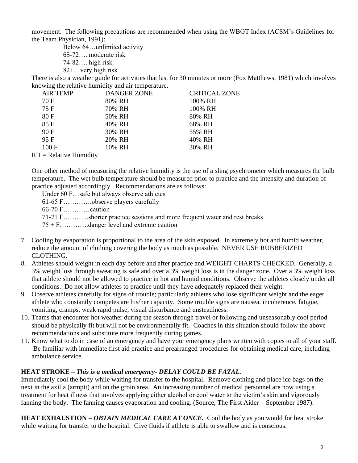movement. The following precautions are recommended when using the WBGT Index (ACSM's Guidelines for the Team Physician, 1991):

Below 64…unlimited activity 65-72…. moderate risk 74-82…. high risk 82+…very high risk

There is also a weather guide for activities that last for 30 minutes or more (Fox Matthews, 1981) which involves knowing the relative humidity and air temperature.

| <b>AIR TEMP</b> | <b>DANGER ZONE</b> | <b>CRITICAL ZONE</b> |
|-----------------|--------------------|----------------------|
| 70 F            | 80% RH             | 100% RH              |
| 75 F            | 70% RH             | 100% RH              |
| 80F             | 50% RH             | 80% RH               |
| 85F             | 40% RH             | 68% RH               |
| 90 F            | 30% RH             | 55% RH               |
| 95F             | 20% RH             | 40% RH               |
| 100 F           | 10% RH             | 30% RH               |
|                 |                    |                      |

 $RH =$  Relative Humidity

One other method of measuring the relative humidity is the use of a sling psychrometer which measures the bulb temperature. The wet bulb temperature should be measured prior to practice and the intensity and duration of practice adjusted accordingly. Recommendations are as follows:

Under 60 F…safe but always observe athletes

61-65 F………….observe players carefully

66-70 F…………caution

71-71 F………...shorter practice sessions and more frequent water and rest breaks

75 + F………….danger level and extreme caution

- 7. Cooling by evaporation is proportional to the area of the skin exposed. In extremely hot and humid weather, reduce the amount of clothing covering the body as much as possible. NEVER USE RUBBERIZED CLOTHING.
- 8. Athletes should weight in each day before and after practice and WEIGHT CHARTS CHECKED. Generally, a 3% weight loss through sweating is safe and over a 3% weight loss is in the danger zone. Over a 3% weight loss that athlete should not be allowed to practice in hot and humid conditions. Observe the athletes closely under all conditions. Do not allow athletes to practice until they have adequately replaced their weight.
- 9. Observe athletes carefully for signs of trouble; particularly athletes who lose significant weight and the eager athlete who constantly competes are his/her capacity. Some trouble signs are nausea, incoherence, fatigue, vomiting, cramps, weak rapid pulse, visual disturbance and unsteadiness.
- 10. Teams that encounter hot weather during the season through travel or following and unseasonably cool period should be physically fit but will not be environmentally fit. Coaches in this situation should follow the above recommendations and substitute more frequently during games.
- 11. Know what to do in case of an emergency and have your emergency plans written with copies to all of your staff. Be familiar with immediate first aid practice and prearranged procedures for obtaining medical care, including ambulance service.

#### **HEAT STROKE –** *This is a medical emergency- DELAY COULD BE FATAL.*

Immediately cool the body while waiting for transfer to the hospital. Remove clothing and place ice bags on the next in the axilla (armpit) and on the groin area. An increasing number of medical personnel are now using a treatment for heat illness that involves applying either alcohol or cool water to the victim's skin and vigorously fanning the body. The fanning causes evaporation and cooling. (Source, The First Aider – September 1987).

**HEAT EXHAUSTION –** *OBTAIN MEDICAL CARE AT ONCE.* Cool the body as you would for heat stroke while waiting for transfer to the hospital. Give fluids if athlete is able to swallow and is conscious.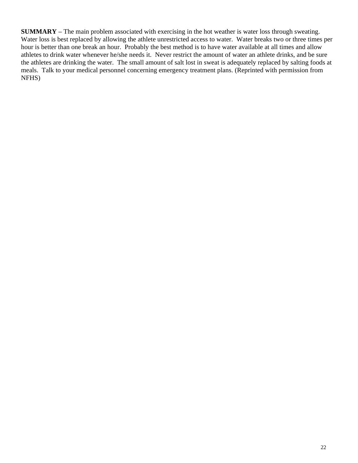**SUMMARY –** The main problem associated with exercising in the hot weather is water loss through sweating. Water loss is best replaced by allowing the athlete unrestricted access to water. Water breaks two or three times per hour is better than one break an hour. Probably the best method is to have water available at all times and allow athletes to drink water whenever he/she needs it. Never restrict the amount of water an athlete drinks, and be sure the athletes are drinking the water. The small amount of salt lost in sweat is adequately replaced by salting foods at meals. Talk to your medical personnel concerning emergency treatment plans. (Reprinted with permission from NFHS)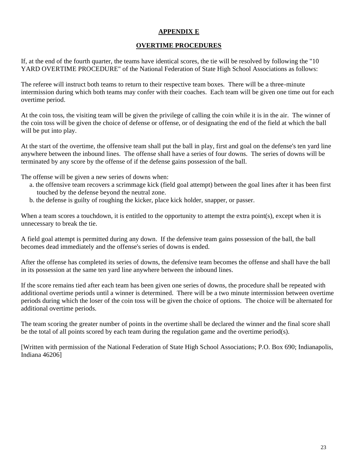# **APPENDIX E**

## **OVERTIME PROCEDURES**

If, at the end of the fourth quarter, the teams have identical scores, the tie will be resolved by following the "10 YARD OVERTIME PROCEDURE" of the National Federation of State High School Associations as follows:

The referee will instruct both teams to return to their respective team boxes. There will be a three-minute intermission during which both teams may confer with their coaches. Each team will be given one time out for each overtime period.

At the coin toss, the visiting team will be given the privilege of calling the coin while it is in the air. The winner of the coin toss will be given the choice of defense or offense, or of designating the end of the field at which the ball will be put into play.

At the start of the overtime, the offensive team shall put the ball in play, first and goal on the defense's ten yard line anywhere between the inbound lines. The offense shall have a series of four downs. The series of downs will be terminated by any score by the offense of if the defense gains possession of the ball.

The offense will be given a new series of downs when:

- a. the offensive team recovers a scrimmage kick (field goal attempt) between the goal lines after it has been first touched by the defense beyond the neutral zone.
- b. the defense is guilty of roughing the kicker, place kick holder, snapper, or passer.

When a team scores a touchdown, it is entitled to the opportunity to attempt the extra point(s), except when it is unnecessary to break the tie.

A field goal attempt is permitted during any down. If the defensive team gains possession of the ball, the ball becomes dead immediately and the offense's series of downs is ended.

After the offense has completed its series of downs, the defensive team becomes the offense and shall have the ball in its possession at the same ten yard line anywhere between the inbound lines.

If the score remains tied after each team has been given one series of downs, the procedure shall be repeated with additional overtime periods until a winner is determined. There will be a two minute intermission between overtime periods during which the loser of the coin toss will be given the choice of options. The choice will be alternated for additional overtime periods.

The team scoring the greater number of points in the overtime shall be declared the winner and the final score shall be the total of all points scored by each team during the regulation game and the overtime period(s).

[Written with permission of the National Federation of State High School Associations; P.O. Box 690; Indianapolis, Indiana 46206]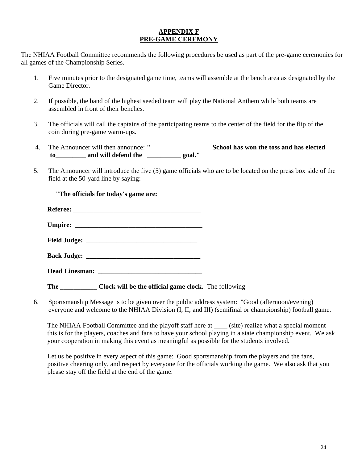## **APPENDIX F PRE-GAME CEREMONY**

The NHIAA Football Committee recommends the following procedures be used as part of the pre-game ceremonies for all games of the Championship Series.

- 1. Five minutes prior to the designated game time, teams will assemble at the bench area as designated by the Game Director.
- 2. If possible, the band of the highest seeded team will play the National Anthem while both teams are assembled in front of their benches.
- 3. The officials will call the captains of the participating teams to the center of the field for the flip of the coin during pre-game warm-ups.
- 4. The Announcer will then announce: **"\_\_\_\_\_\_\_\_\_\_\_\_\_\_\_\_\_\_ School has won the toss and has elected to\_\_\_\_\_\_\_\_\_ and will defend the \_\_\_\_\_\_\_\_\_\_ goal."**
- 5. The Announcer will introduce the five (5) game officials who are to be located on the press box side of the field at the 50-yard line by saying:

**"The officials for today's game are:**

| <b>Referee:</b> |  |
|-----------------|--|
|                 |  |
|                 |  |
|                 |  |

**Umpire: \_\_\_\_\_\_\_\_\_\_\_\_\_\_\_\_\_\_\_\_\_\_\_\_\_\_\_\_\_\_\_\_\_\_\_\_\_\_**

**Field Judge: \_\_\_\_\_\_\_\_\_\_\_\_\_\_\_\_\_\_\_\_\_\_\_\_\_\_\_\_\_\_\_\_\_**

| <b>Back Judge:</b> |  |
|--------------------|--|
|--------------------|--|

| <b>Head Linesman:</b> |  |
|-----------------------|--|
|                       |  |

**The \_\_\_\_\_\_\_\_\_\_\_ Clock will be the official game clock.** The following

6. Sportsmanship Message is to be given over the public address system: "Good (afternoon/evening) everyone and welcome to the NHIAA Division (I, II, and III) (semifinal or championship) football game.

The NHIAA Football Committee and the playoff staff here at (site) realize what a special moment this is for the players, coaches and fans to have your school playing in a state championship event. We ask your cooperation in making this event as meaningful as possible for the students involved.

Let us be positive in every aspect of this game: Good sportsmanship from the players and the fans, positive cheering only, and respect by everyone for the officials working the game. We also ask that you please stay off the field at the end of the game.